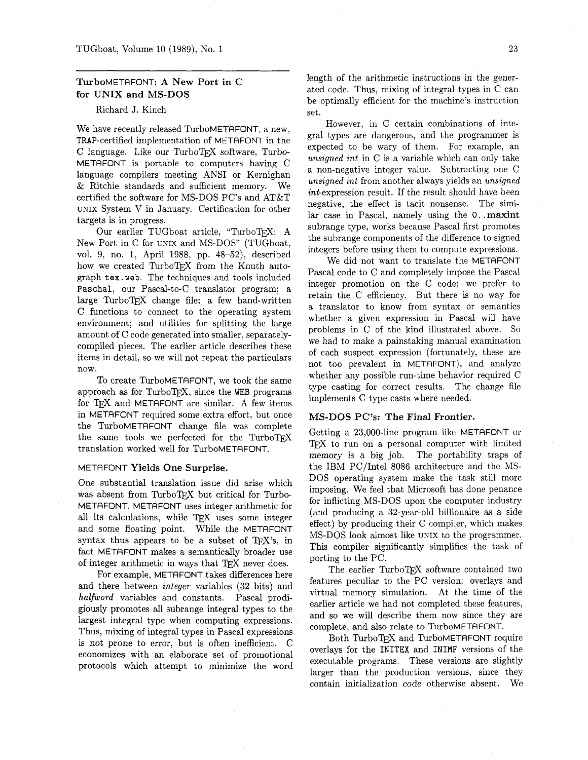# TurboMETAFONT: **A** New Port in **C**  for UNIX and MS-DOS

### Richard J. Kinch

We have recently released TurboMETAFONT, a new, TRAP-certified implementation of METAFONT in the  $C$  language. Like our TurboTFX software, Turbo-METAFONT is portable to computers having C language compilers meeting ANSI or Kernighan & Ritchie standards and sufficient memory. We certified the software for MS-DOS PC's and AT&T UNIX System V in January. Certification for other targets is in progress.

Our earlier TUGboat article, "TurboTFX: A New Port in C for UNIX and MS-DOS" (TUGboat, vol. 9, no. 1, April 1988, pp. 48-52), described how we created TurboTFX from the Knuth autograph **tex.** web. The techniques and tools included **Paschal,** our Pascal-to-C translator program; a large TurboTEX change file; a few hand-written C functions to connect to the operating system environment; and utilities for splitting the large amount of C code generated into smaller, separatelycompiled pieces. The earlier article describes these items in detail, so we will not repeat the particulars now.

To create TurboMETRFONT, we took the same approach as for TurboTEX, since the WEB programs for T<sub>F</sub>X and METAFONT are similar. A few items in METRFONT required some extra effort, but once the TurboMETAFONT change file was complete the same tools we perfected for the TurboTFX translation worked well for TurboMETAFONT.

#### METAFONT Yields One Surprise.

One substantial translation issue did arise which was absent from TurboTFX but critical for Turbo-METRFONT. METAFONT uses integer arithmetic for all its calculations, while TFX uses some integer and some floating point. While the METRFONT syntax thus appears to be a subset of  $Tr X$ 's, in fact METAFONT makes a semantically broader use of integer arithmetic in ways that TFX never does.

For example, METAFONT takes differences here and there between integer variables **(32** bits) and halfword variables and constants. Pascal prodigiously promotes all subrange integral types to the largest integral type when computing expressions. Thus, mixing of integral types in Pascal expressions is not prone to error, but is often inefficient. C economizes with an elaborate set of promotional protocols which attempt to minimize the word length of the arithmetic instructions in the generated code. Thus, mixing of integral types in C can be optimally efficient for the machine's instruction set.

However, in C certain combinations of integral types are dangerous, and the programmer is expected to be wary of them. For example, an unsigned int in C is a variable which can only take a non-negative integer value. Subtracting one C unsigned int from another always yields an unsigned int-expression result. If the result should have been negative, the effect is tacit nonsense. The similar case in Pascal, namely using the **0.** .maxint subrange type, works because Pascal first promotes the subrange components of the difference to signed integers before using them to compute expressions.

We did not want to translate the METAFONT Pascal code to C and completely impose the Pascal integer promotion on the C code; we prefer to retain the C efficiency. But there is no way for a translator to know from syntax or semantics whether a given expression in Pascal will have problems in C of the kind illustrated above. So we had to make a painstaking manual examination of each suspect expression (fortunately, these are not too prevalent in METAFONT), and analyze whether any possible run-time behavior required C type casting for correct results. The change file implements C type casts where needed.

### MS-DOS PC's: **The** Final Frontier.

Getting a 23,000-line program like METAFONT or TFX to run on a personal computer with limited memory is a big job. The portability traps of the IBM PC/Intel 8086 architecture and the MS-DOS operating system make the task still more imposing. We feel that Microsoft has done penance for inflicting MS-DOS upon the computer industry (and producing a 32-year-old billionaire as a side effect) by producing their C compiler, which makes MS-DOS look almost like UNIX to the programmer. This compiler significantly simplifies the task of porting to the PC.

The earlier TurboTFX software contained two features peculiar to the PC version: overlays and virtual memory simulation. At the time of the earlier article we had not completed these features, and so we will describe them now since they are complete, and also relate to TurboMETAFONT.

Both TurboTFX and TurboMETAFONT require overlays for the INITEX and INIMF versions of the executable programs. These versions are slightly larger than the production versions, since they contain initialization code otherwise absent. We